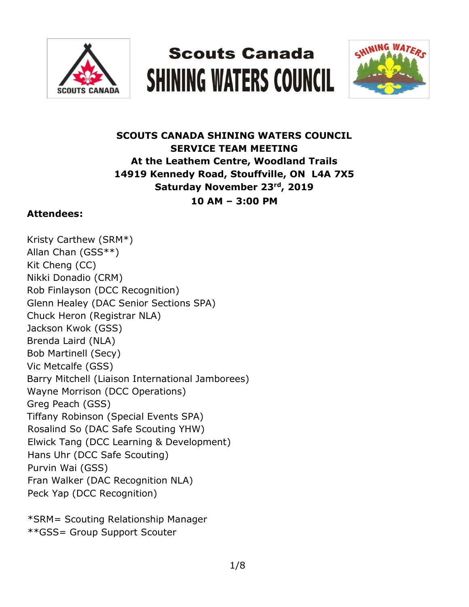

# **Scouts Canada SHINING WATERS COUNCIL**



# **SCOUTS CANADA SHINING WATERS COUNCIL SERVICE TEAM MEETING At the Leathem Centre, Woodland Trails 14919 Kennedy Road, Stouffville, ON L4A 7X5 Saturday November 23rd, 2019 10 AM – 3:00 PM**

## **Attendees:**

Kristy Carthew (SRM\*) Allan Chan (GSS\*\*) Kit Cheng (CC) Nikki Donadio (CRM) Rob Finlayson (DCC Recognition) Glenn Healey (DAC Senior Sections SPA) Chuck Heron (Registrar NLA) Jackson Kwok (GSS) Brenda Laird (NLA) Bob Martinell (Secy) Vic Metcalfe (GSS) Barry Mitchell (Liaison International Jamborees) Wayne Morrison (DCC Operations) Greg Peach (GSS) Tiffany Robinson (Special Events SPA) Rosalind So (DAC Safe Scouting YHW) Elwick Tang (DCC Learning & Development) Hans Uhr (DCC Safe Scouting) Purvin Wai (GSS) Fran Walker (DAC Recognition NLA) Peck Yap (DCC Recognition)

\*SRM= Scouting Relationship Manager \*\*GSS= Group Support Scouter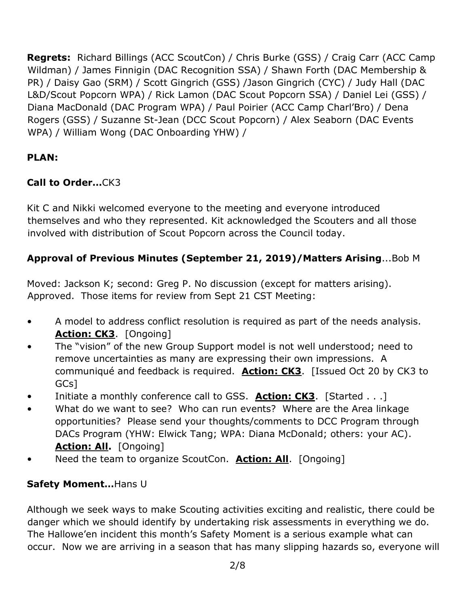**Regrets:** Richard Billings (ACC ScoutCon) / Chris Burke (GSS) / Craig Carr (ACC Camp Wildman) / James Finnigin (DAC Recognition SSA) / Shawn Forth (DAC Membership & PR) / Daisy Gao (SRM) / Scott Gingrich (GSS) /Jason Gingrich (CYC) / Judy Hall (DAC L&D/Scout Popcorn WPA) / Rick Lamon (DAC Scout Popcorn SSA) / Daniel Lei (GSS) / Diana MacDonald (DAC Program WPA) / Paul Poirier (ACC Camp Charl'Bro) / Dena Rogers (GSS) / Suzanne St-Jean (DCC Scout Popcorn) / Alex Seaborn (DAC Events WPA) / William Wong (DAC Onboarding YHW) /

## **PLAN:**

## **Call to Order…**CK3

Kit C and Nikki welcomed everyone to the meeting and everyone introduced themselves and who they represented. Kit acknowledged the Scouters and all those involved with distribution of Scout Popcorn across the Council today.

## **Approval of Previous Minutes (September 21, 2019)/Matters Arising**...Bob M

Moved: Jackson K; second: Greg P. No discussion (except for matters arising). Approved. Those items for review from Sept 21 CST Meeting:

- A model to address conflict resolution is required as part of the needs analysis. **Action: CK3**. [Ongoing]
- The "vision" of the new Group Support model is not well understood; need to remove uncertainties as many are expressing their own impressions. A communiqué and feedback is required. **Action: CK3**. [Issued Oct 20 by CK3 to GCs]
- Initiate a monthly conference call to GSS. **Action: CK3**. [Started . . .]
- What do we want to see? Who can run events? Where are the Area linkage opportunities? Please send your thoughts/comments to DCC Program through DACs Program (YHW: Elwick Tang; WPA: Diana McDonald; others: your AC). **Action: All.** [Ongoing]
- Need the team to organize ScoutCon. **Action: All**. [Ongoing]

## **Safety Moment…**Hans U

Although we seek ways to make Scouting activities exciting and realistic, there could be danger which we should identify by undertaking risk assessments in everything we do. The Hallowe'en incident this month's Safety Moment is a serious example what can occur. Now we are arriving in a season that has many slipping hazards so, everyone will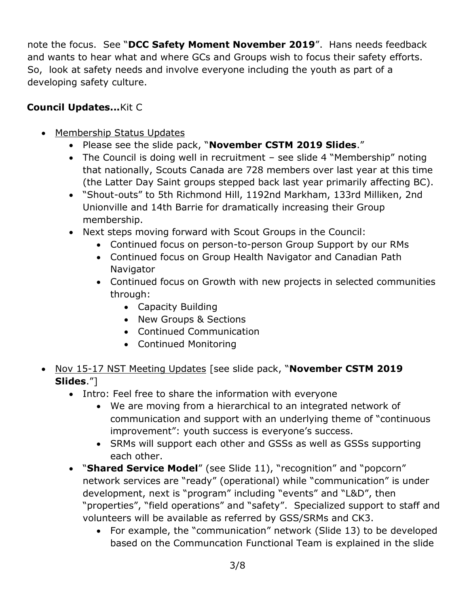note the focus. See "**DCC Safety Moment November 2019**". Hans needs feedback and wants to hear what and where GCs and Groups wish to focus their safety efforts. So, look at safety needs and involve everyone including the youth as part of a developing safety culture.

## **Council Updates...**Kit C

- Membership Status Updates
	- Please see the slide pack, "**November CSTM 2019 Slides**."
	- The Council is doing well in recruitment see slide 4 "Membership" noting that nationally, Scouts Canada are 728 members over last year at this time (the Latter Day Saint groups stepped back last year primarily affecting BC).
	- "Shout-outs" to 5th Richmond Hill, 1192nd Markham, 133rd Milliken, 2nd Unionville and 14th Barrie for dramatically increasing their Group membership.
	- Next steps moving forward with Scout Groups in the Council:
		- Continued focus on person-to-person Group Support by our RMs
		- Continued focus on Group Health Navigator and Canadian Path **Navigator**
		- Continued focus on Growth with new projects in selected communities through:
			- Capacity Building
			- New Groups & Sections
			- Continued Communication
			- Continued Monitoring
- Nov 15-17 NST Meeting Updates [see slide pack, "**November CSTM 2019 Slides**."]
	- Intro: Feel free to share the information with everyone
		- We are moving from a hierarchical to an integrated network of communication and support with an underlying theme of "continuous improvement": youth success is everyone's success.
		- SRMs will support each other and GSSs as well as GSSs supporting each other.
	- "**Shared Service Model**" (see Slide 11), "recognition" and "popcorn" network services are "ready" (operational) while "communication" is under development, next is "program" including "events" and "L&D", then "properties", "field operations" and "safety". Specialized support to staff and volunteers will be available as referred by GSS/SRMs and CK3.
		- For example, the "communication" network (Slide 13) to be developed based on the Communcation Functional Team is explained in the slide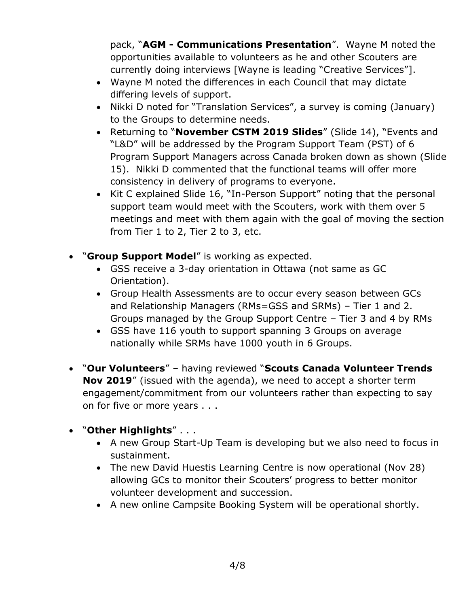pack, "**AGM - Communications Presentation**". Wayne M noted the opportunities available to volunteers as he and other Scouters are currently doing interviews [Wayne is leading "Creative Services"].

- Wayne M noted the differences in each Council that may dictate differing levels of support.
- Nikki D noted for "Translation Services", a survey is coming (January) to the Groups to determine needs.
- Returning to "**November CSTM 2019 Slides**" (Slide 14), "Events and "L&D" will be addressed by the Program Support Team (PST) of 6 Program Support Managers across Canada broken down as shown (Slide 15). Nikki D commented that the functional teams will offer more consistency in delivery of programs to everyone.
- Kit C explained Slide 16, "In-Person Support" noting that the personal support team would meet with the Scouters, work with them over 5 meetings and meet with them again with the goal of moving the section from Tier 1 to 2, Tier 2 to 3, etc.
- "**Group Support Model**" is working as expected.
	- GSS receive a 3-day orientation in Ottawa (not same as GC Orientation).
	- Group Health Assessments are to occur every season between GCs and Relationship Managers (RMs=GSS and SRMs) – Tier 1 and 2. Groups managed by the Group Support Centre – Tier 3 and 4 by RMs
	- GSS have 116 youth to support spanning 3 Groups on average nationally while SRMs have 1000 youth in 6 Groups.
- "**Our Volunteers**" having reviewed "**Scouts Canada Volunteer Trends Nov 2019**" (issued with the agenda), we need to accept a shorter term engagement/commitment from our volunteers rather than expecting to say on for five or more years . . .
- "**Other Highlights**" . . .
	- A new Group Start-Up Team is developing but we also need to focus in sustainment.
	- The new David Huestis Learning Centre is now operational (Nov 28) allowing GCs to monitor their Scouters' progress to better monitor volunteer development and succession.
	- A new online Campsite Booking System will be operational shortly.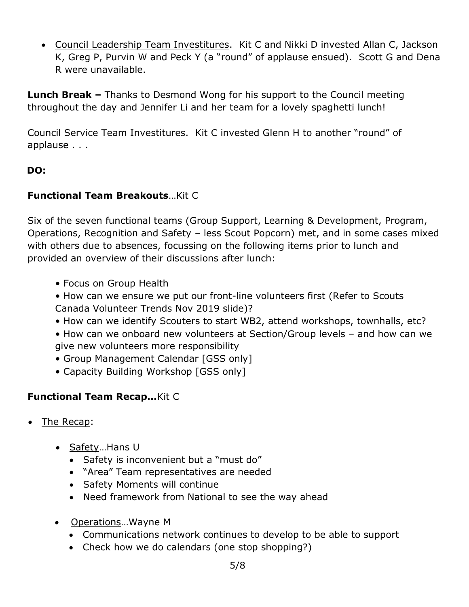• Council Leadership Team Investitures. Kit C and Nikki D invested Allan C, Jackson K, Greg P, Purvin W and Peck Y (a "round" of applause ensued). Scott G and Dena R were unavailable.

**Lunch Break –** Thanks to Desmond Wong for his support to the Council meeting throughout the day and Jennifer Li and her team for a lovely spaghetti lunch!

Council Service Team Investitures. Kit C invested Glenn H to another "round" of applause . . .

## **DO:**

## **Functional Team Breakouts**…Kit C

Six of the seven functional teams (Group Support, Learning & Development, Program, Operations, Recognition and Safety – less Scout Popcorn) met, and in some cases mixed with others due to absences, focussing on the following items prior to lunch and provided an overview of their discussions after lunch:

- Focus on Group Health
- How can we ensure we put our front-line volunteers first (Refer to Scouts Canada Volunteer Trends Nov 2019 slide)?
- How can we identify Scouters to start WB2, attend workshops, townhalls, etc?
- How can we onboard new volunteers at Section/Group levels and how can we give new volunteers more responsibility
- Group Management Calendar [GSS only]
- Capacity Building Workshop [GSS only]

## **Functional Team Recap…**Kit C

- The Recap:
	- Safety...Hans U
		- Safety is inconvenient but a "must do"
		- "Area" Team representatives are needed
		- Safety Moments will continue
		- Need framework from National to see the way ahead
	- Operations... Wayne M
		- Communications network continues to develop to be able to support
		- Check how we do calendars (one stop shopping?)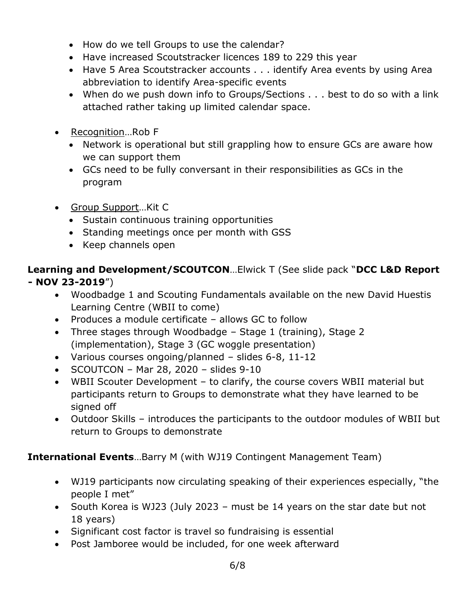- How do we tell Groups to use the calendar?
- Have increased Scoutstracker licences 189 to 229 this year
- Have 5 Area Scoutstracker accounts . . . identify Area events by using Area abbreviation to identify Area-specific events
- When do we push down info to Groups/Sections . . . best to do so with a link attached rather taking up limited calendar space.
- Recognition...Rob F
	- Network is operational but still grappling how to ensure GCs are aware how we can support them
	- GCs need to be fully conversant in their responsibilities as GCs in the program
- Group Support…Kit C
	- Sustain continuous training opportunities
	- Standing meetings once per month with GSS
	- Keep channels open

## **Learning and Development/SCOUTCON**…Elwick T (See slide pack "**DCC L&D Report - NOV 23-2019**")

- Woodbadge 1 and Scouting Fundamentals available on the new David Huestis Learning Centre (WBII to come)
- Produces a module certificate allows GC to follow
- Three stages through Woodbadge Stage 1 (training), Stage 2 (implementation), Stage 3 (GC woggle presentation)
- Various courses ongoing/planned slides 6-8, 11-12
- $\bullet$  SCOUTCON Mar 28, 2020 slides 9-10
- WBII Scouter Development to clarify, the course covers WBII material but participants return to Groups to demonstrate what they have learned to be signed off
- Outdoor Skills introduces the participants to the outdoor modules of WBII but return to Groups to demonstrate

## **International Events**…Barry M (with WJ19 Contingent Management Team)

- WJ19 participants now circulating speaking of their experiences especially, "the people I met"
- South Korea is WJ23 (July 2023 must be 14 years on the star date but not 18 years)
- Significant cost factor is travel so fundraising is essential
- Post Jamboree would be included, for one week afterward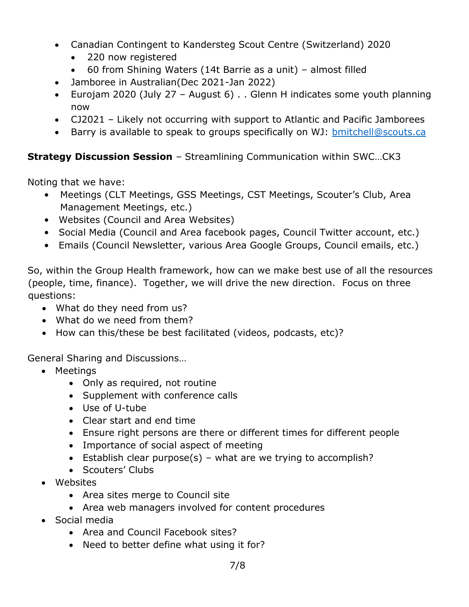- Canadian Contingent to Kandersteg Scout Centre (Switzerland) 2020
	- 220 now registered
	- 60 from Shining Waters (14t Barrie as a unit) almost filled
- Jamboree in Australian(Dec 2021-Jan 2022)
- Eurojam 2020 (July 27 August 6) . . Glenn H indicates some youth planning now
- CJ2021 Likely not occurring with support to Atlantic and Pacific Jamborees
- Barry is available to speak to groups specifically on WJ: [bmitchell@scouts.ca](mailto:bmitchell@scouts.ca)

## **Strategy Discussion Session** – Streamlining Communication within SWC…CK3

Noting that we have:

- Meetings (CLT Meetings, GSS Meetings, CST Meetings, Scouter's Club, Area Management Meetings, etc.)
- Websites (Council and Area Websites)
- Social Media (Council and Area facebook pages, Council Twitter account, etc.)
- Emails (Council Newsletter, various Area Google Groups, Council emails, etc.)

So, within the Group Health framework, how can we make best use of all the resources (people, time, finance). Together, we will drive the new direction. Focus on three questions:

- What do they need from us?
- What do we need from them?
- How can this/these be best facilitated (videos, podcasts, etc)?

General Sharing and Discussions…

- Meetings
	- Only as required, not routine
	- Supplement with conference calls
	- Use of U-tube
	- Clear start and end time
	- Ensure right persons are there or different times for different people
	- Importance of social aspect of meeting
	- Establish clear purpose(s) what are we trying to accomplish?
	- Scouters' Clubs
- Websites
	- Area sites merge to Council site
	- Area web managers involved for content procedures
- Social media
	- Area and Council Facebook sites?
	- Need to better define what using it for?